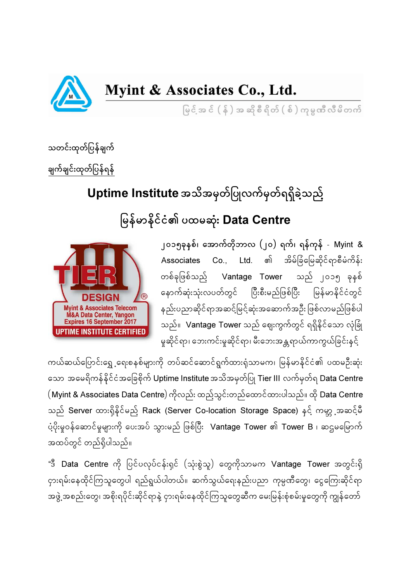

## Myint & Associates Co., Ltd.

မြင်အင် (န်) အဆိုစီရိတ် (စ်) ကုမ္ပဏီလီမိတက်

သတင်းထုတ်ပြန်ချက် ချက်ချင်းထုတ်ပြန်ရန်

## Uptime Institute အသိအမှတ်ပြုလက်မှတ်ရရှိခဲ့သည်

မြန်မာနိုင်ငံ၏ ပထမဆုံး Data Centre



၂၀၁၅ခုနှစ်၊ အောက်တိုဘာလ (၂၀) ရက်၊ ရန်ကုန် - Myint & Associates Co., Ltd. ၏ အိမ်ခြံမြေဆိုင်ရာစီမံကိန်း တစ်ခုဖြစ်သည် Vantage Tower သည် ၂၀၁၅ ခုနှစ် နောက်ဆုံးသုံးလပတ်တွင် ပြီးစီးမည်ဖြစ်ပြီး မြန်မာနိုင်ငံတွင် နည်းပညာဆိုင်ရာအဆင့်မြင့်ဆုံးအဆောက်အဦး ဖြစ်လာမည်ဖြစ်ပါ သည်။ **Vantage Tower** သည် ဈေးကွက်တွင် ရရှိနိုင်သော လုံခြုံ မှုဆိုင်ရာ၊ ဘေးကင်းမှုဆိုင်ရာ၊ မီးဘေးအန္တရာယ်ကာကွယ်ခြင်းနင်

ကယ်ဆယ်ပြောင်းရွေ့ရေးစနစ်များကို တပ်ဆင်ဆောင်ရွက်ထားရုံသာမက၊ မြန်မာနိုင်ငံ၏ ပထမဦးဆုံး သော အမေရိကန်နိုင်ငံအခြေစိုက် Uptime Institute အသိအမှတ်ပြု Tier III လက်မှတ်ရ Data Centre  $($  Myint & Associates Data Centre $)$  ကိုလည်း ထည့်သွင်းတည်ထောင်ထားပါသည်။ ထို Data Centre သည် Server ထားရှိနိုင်မည် Rack (Server Co-location Storage Space) နင့် ကမ္ဘာ့အဆင့်မီ ပံ့ပိုးမှုဝန်ဆောင်မှုများကို ပေးအပ် သွားမည် ဖြစ်ပြီး  $\,$  Vantage Tower ၏ Tower B ၊ ဆဌမမြောက် အထပ်တွင် တည်ရှိပါသည်။

"ဒီ Data Centre ကို ပြင်ပလုပ်ငန်းရှင် (သုံးစွဲသူ) တွေကိုသာမက Vantage Tower အတွင်းရှိ ငှားရမ်းနေထိုင်ကြသူတွေပါ ရည်ရွယ်ပါတယ်။ ဆက်သွယ်ရေးနည်းပညာ ကုမ္ပဏီတွေ၊ ငွေကြေးဆိုင်ရာ အဖွဲ့ အစည်းတွေ၊ အစိုးရပိုင်းဆိုင်ရာနဲ့ ငှားရမ်းနေထိုင်ကြသူတွေဆီက မေးမြန်းစုံစမ်းမှုတွေကို ကျွန်တော်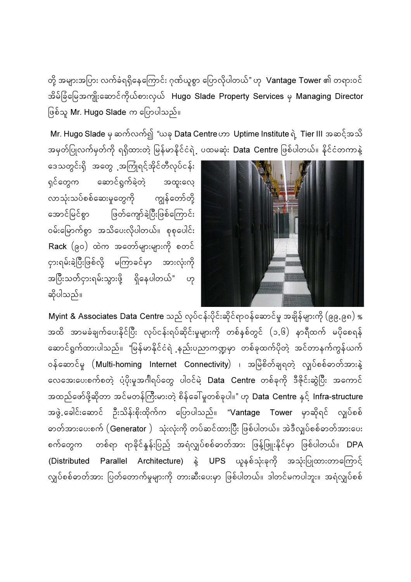တို့ အများအပြား လက်ခံရရှိနေကြောင်း ဂုဏ်ယူစွာ ပြောလိုပါတယ်" ဟု  $\,$  Vantage Tower ၏ တရားဝင် အိမ်ခြံမြေအကျိုးဆောင်ကိုယ်စားလှယ် Hugo Slade Property Services မှ Managing Director ဖြစ်သူ Mr. Hugo Slade က ပြောပါသည်။

Mr. Hugo Slade မှ ဆက်လက်၍ "ယခု Data Centre ဟာ Uptime Institute ရဲ့ Tier III အဆင့်အသိ အမှတ်ပြုလက်မှတ်ကို ရရှိထားတဲ့ မြန်မာနိုင်ငံရဲ့ ပထမဆုံး **Data Centre** ဖြစ်ပါတယ်။ နိုင်ငံတကာနဲ့

aေသတွင်းရှိ အတွေ အကြုံရင့်အိုင်တီလုပ်ငန်း ရှင်တွေက ဆောင်ရွက်ခဲ့တဲ့ အထူးလေ့ လာသုံးသပ်စစ်ဆေးမှုတွေကို ကျွန်တော်တို့ အောင်မြင်စွာ ဖြတ်ကျော်ခဲ့ပြီးဖြစ်ကြောင်း ၀မ်းမြောက်စွာ အသိပေးလိုပါတယ်။ စုစုပေါင်း  $\mathsf{Back}\ \bigl(\begin{smallmatrix} \partial \mathcal{O} \end{smallmatrix} \bigr)$  ထဲက အတော်များများကို စတင် ငှားရမ်းခဲ့ပြီးဖြစ်လို့ မကြာခင်မှာ အားလုံးကို အပြီးသတ်ငှားရမ်းသွားဖို့ ရှိနေပါတယ်" ဟု ဆိုပါသည်။



<code>Myint & Associates Data Centre</code> သည် လုပ်ငန်းပိုင်းဆိုင်ရာဝန်ဆောင်မှု အချိန်များကို (၉၉.၉၈) % အထိ အာမခံချက်ပေးနိင်ပြီး လုပ်ငန်းရပ်ဆိုင်းမှုများကို တစ်နစ်တွင် (၁.၆) နာရီထက် မပိုစေရန် ဆောင်ရွက်ထားပါသည်။ "မြန်မာနိုင်ငံရဲ ့နည်းပညာကဏ္ဍမှာ တစ်ခုထက်ပိုတဲ့ အင်တာနက်ကွန်ယက် ဝန်ဆောင်မှု  $($ Multi-homing Internet Connectivity $)$  ၊ အမြဲစိတ်ချရတဲ့ လျပ်စစ်ဓာတ်အားနဲ့ လေအေးပေးစက်စတဲ့ ပံ့ပိုးမှုအင်္ဂါရပ်တွေ ပါဝင်မဲ့ Data Centre တစ်ခုကို ဒီဇိုင်းဆွဲပြီး အကောင် အထည်ဖော်ဖို့ဆိုတာ အင်မတန်ကြီးမားတဲ့ စိန်ခေါ်မူတစ်ခုပါ။" ဟု <mark>Data Centre</mark> နှင့် Infra-structure အဖွဲ့ ခေါင်းဆောင် ဦးသိန်းစိုးထိုက်က ပြောပါသည်။ "Vantage Tower မှာဆိုရင် လျပ်စစ် ဓာတ်အားပေးစက် (Generator ) သုံးလုံးကို တပ်ဆင်ထားပြီး ဖြစ်ပါတယ်။ အဲဒီလျှပ်စစ်ဓာတ်အားပေး စက်တွေက တစ်ရာ ရာခိုင်နူန်းပြည် အရံလျှပ်စစ်ဓာတ်အား ဖြန့်ဖြူးနိုင်မှာ ဖြစ်ပါတယ်။ DPA (Distributed Parallel Architecture) နဲ့ UPS ယူနစ်သုံးခုကို အသုံးပြုထားတာကြောင့် လျှပ်စစ်ဓာတ်အား ပြတ်တောက်မှုများကို တားဆီးပေးမှာ ဖြစ်ပါတယ်။ ဒါတင်မကပါဘူး။ အရံလျှပ်စစ်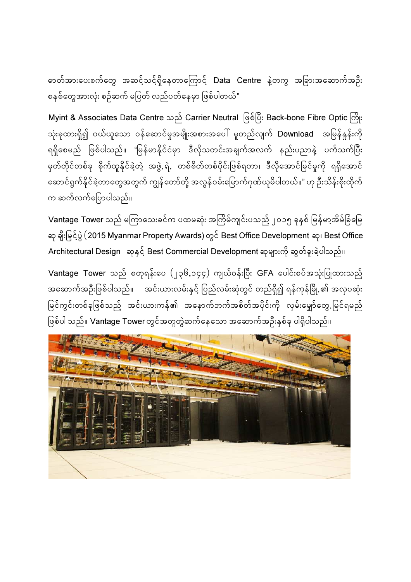ဓာတ်အားပေးစက်တွေ အဆင့်သင့်ရှိနေတာကြောင့် Data Centre နဲ့တကွ အခြားအဆောက်အဦး စနစ်တွေအားလုံး စဉ်ဆက် မပြတ် လည်ပတ်နေမှာ ဖြစ်ပါတယ်"

Myint & Associates Data Centre သည် Carrier Neutral ဖြစ်ပြီး Back-bone Fibre Optic ကြိုး သုံးခုထားရှိ၍ ဝယ်ယူသော ဝန်ဆောင်မှုအမျိုးအစားအပေါ် မူတည်လျက် **Download** အမြန်နူန်းကို ရရှိစေမည် ဖြစ်ပါသည်။ "မြန်မာနိုင်ငံမှာ ဒီလိုသတင်းအချက်အလက် နည်းပညာနဲ့ ပက်သက်ပြီး မှတ်တိုင်တစ်ခု စိုက်ထူနိုင်ခဲ့တဲ့ အဖွဲ့.ရဲ. တစ်စိတ်တစ်ပိုင်းဖြစ်ရတာ၊ ဒီလိုအောင်မြင်မှုကို ရရှိအောင် ဆောင်ရွက်နိုင်ခဲ့တာတွေအတွက် ကျွန်တော်တို့ အလွန်ဝမ်းမြောက်ဂုဏ်ယူမိပါတယ်။" ဟု ဉီးသိန်းစိုးထိုက် က ဆက်လက်ပြောပါသည်။

Vantage Tower သည် မကြာသေးခင်က ပထမဆုံး အကြိမ်ကျင်းပသည် ၂၀၁၅ ခုနှစ် မြန်မာ့အိမ်ခြံမြေ ဆု ချီးမြှင်ပွဲ (2015 Myanmar Property Awards) တွင် Best Office Development ဆု၊ Best Office Architectural Design ဆုနှင့် Best Commercial Development ဆုများကို ဆွတ်ခူးခဲ့ပါသည်။

Vantage Tower သည် စတုရန်းပေ  $(y\in\mathbb{G},p\in\mathcal{G})$  ကျယ်ဝန်းပြီး GFA ပေါင်းစပ်အသုံးပြုထားသည် အဆောက်အဦးဖြစ်ပါသည်။ အင်းယားလမ်းနှင့် ပြည်လမ်းဆုံတွင် တည်ရှိ၍ ရန်ကုန်မြို့ ၏ အလုပဆုံး မြင်ကွင်းတစ်ခုဖြစ်သည် အင်းယားကန်၏ အနောက်ဘက်အစိတ်အပိုင်းကို လှမ်းမျှော်တွေ.မြင်ရမည် ဖြစ်ပါ သည်။ **Vantage Tower** တွင်အတူတွဲဆက်နေသော အဆောက်အဦးနှစ်ခု ပါရှိပါသည်။